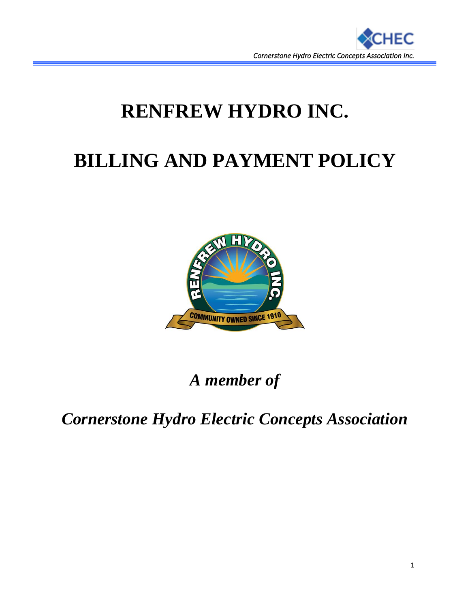

# **RENFREW HYDRO INC.**

# **BILLING AND PAYMENT POLICY**



*A member of*

*Cornerstone Hydro Electric Concepts Association*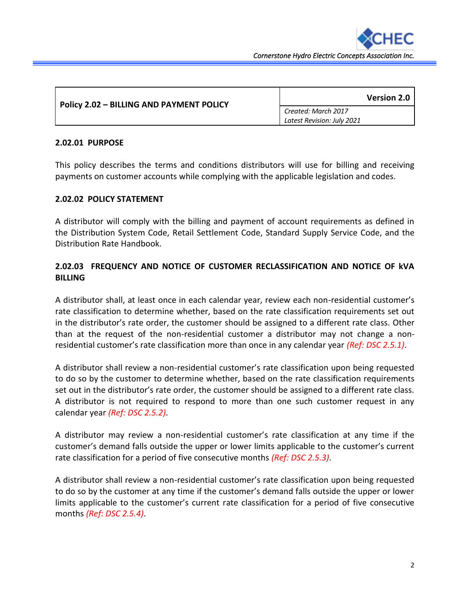

| <b>Policy 2.02 - BILLING AND PAYMENT POLICY</b> | <b>Version 2.0</b>         |
|-------------------------------------------------|----------------------------|
|                                                 | Created: March 2017        |
|                                                 | Latest Revision: July 2021 |

#### **2.02.01 PURPOSE**

This policy describes the terms and conditions distributors will use for billing and receiving payments on customer accounts while complying with the applicable legislation and codes.

### **2.02.02 POLICY STATEMENT**

A distributor will comply with the billing and payment of account requirements as defined in the Distribution System Code, Retail Settlement Code, Standard Supply Service Code, and the Distribution Rate Handbook.

## **2.02.03 FREQUENCY AND NOTICE OF CUSTOMER RECLASSIFICATION AND NOTICE OF kVA BILLING**

A distributor shall, at least once in each calendar year, review each non-residential customer's rate classification to determine whether, based on the rate classification requirements set out in the distributor's rate order, the customer should be assigned to a different rate class. Other than at the request of the non-residential customer a distributor may not change a nonresidential customer's rate classification more than once in any calendar year *(Ref: DSC 2.5.1)*.

A distributor shall review a non-residential customer's rate classification upon being requested to do so by the customer to determine whether, based on the rate classification requirements set out in the distributor's rate order, the customer should be assigned to a different rate class. A distributor is not required to respond to more than one such customer request in any calendar year *(Ref: DSC 2.5.2)*.

A distributor may review a non-residential customer's rate classification at any time if the customer's demand falls outside the upper or lower limits applicable to the customer's current rate classification for a period of five consecutive months *(Ref: DSC 2.5.3)*.

A distributor shall review a non-residential customer's rate classification upon being requested to do so by the customer at any time if the customer's demand falls outside the upper or lower limits applicable to the customer's current rate classification for a period of five consecutive months *(Ref: DSC 2.5.4)*.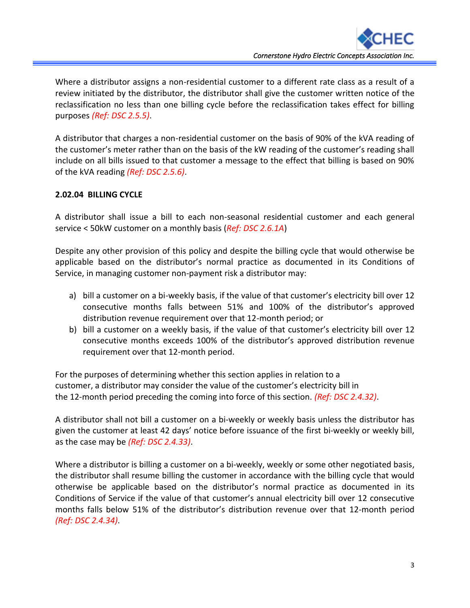Where a distributor assigns a non-residential customer to a different rate class as a result of a review initiated by the distributor, the distributor shall give the customer written notice of the reclassification no less than one billing cycle before the reclassification takes effect for billing purposes *(Ref: DSC 2.5.5)*.

A distributor that charges a non-residential customer on the basis of 90% of the kVA reading of the customer's meter rather than on the basis of the kW reading of the customer's reading shall include on all bills issued to that customer a message to the effect that billing is based on 90% of the kVA reading *(Ref: DSC 2.5.6)*.

## **2.02.04 BILLING CYCLE**

A distributor shall issue a bill to each non-seasonal residential customer and each general service < 50kW customer on a monthly basis (*Ref: DSC 2.6.1A*)

Despite any other provision of this policy and despite the billing cycle that would otherwise be applicable based on the distributor's normal practice as documented in its Conditions of Service, in managing customer non-payment risk a distributor may:

- a) bill a customer on a bi-weekly basis, if the value of that customer's electricity bill over 12 consecutive months falls between 51% and 100% of the distributor's approved distribution revenue requirement over that 12-month period; or
- b) bill a customer on a weekly basis, if the value of that customer's electricity bill over 12 consecutive months exceeds 100% of the distributor's approved distribution revenue requirement over that 12-month period.

For the purposes of determining whether this section applies in relation to a customer, a distributor may consider the value of the customer's electricity bill in the 12-month period preceding the coming into force of this section. *(Ref: DSC 2.4.32)*.

A distributor shall not bill a customer on a bi-weekly or weekly basis unless the distributor has given the customer at least 42 days' notice before issuance of the first bi-weekly or weekly bill, as the case may be *(Ref: DSC 2.4.33)*.

Where a distributor is billing a customer on a bi-weekly, weekly or some other negotiated basis, the distributor shall resume billing the customer in accordance with the billing cycle that would otherwise be applicable based on the distributor's normal practice as documented in its Conditions of Service if the value of that customer's annual electricity bill over 12 consecutive months falls below 51% of the distributor's distribution revenue over that 12-month period *(Ref: DSC 2.4.34)*.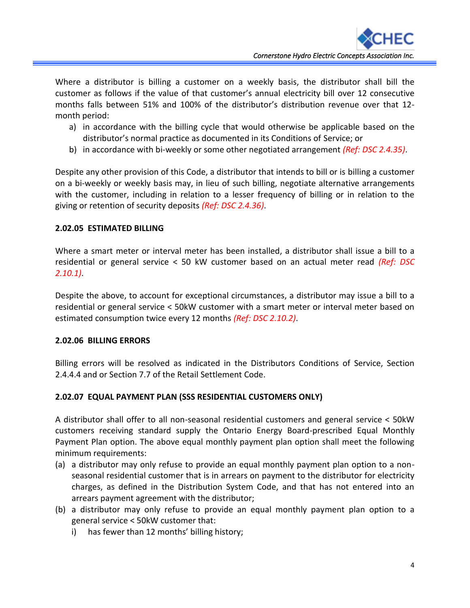Where a distributor is billing a customer on a weekly basis, the distributor shall bill the customer as follows if the value of that customer's annual electricity bill over 12 consecutive months falls between 51% and 100% of the distributor's distribution revenue over that 12 month period:

- a) in accordance with the billing cycle that would otherwise be applicable based on the distributor's normal practice as documented in its Conditions of Service; or
- b) in accordance with bi-weekly or some other negotiated arrangement *(Ref: DSC 2.4.35)*.

Despite any other provision of this Code, a distributor that intends to bill or is billing a customer on a bi-weekly or weekly basis may, in lieu of such billing, negotiate alternative arrangements with the customer, including in relation to a lesser frequency of billing or in relation to the giving or retention of security deposits *(Ref: DSC 2.4.36)*.

## **2.02.05 ESTIMATED BILLING**

Where a smart meter or interval meter has been installed, a distributor shall issue a bill to a residential or general service < 50 kW customer based on an actual meter read *(Ref: DSC 2.10.1)*.

Despite the above, to account for exceptional circumstances, a distributor may issue a bill to a residential or general service < 50kW customer with a smart meter or interval meter based on estimated consumption twice every 12 months *(Ref: DSC 2.10.2)*.

### **2.02.06 BILLING ERRORS**

Billing errors will be resolved as indicated in the Distributors Conditions of Service, Section 2.4.4.4 and or Section 7.7 of the Retail Settlement Code.

## **2.02.07 EQUAL PAYMENT PLAN (SSS RESIDENTIAL CUSTOMERS ONLY)**

A distributor shall offer to all non-seasonal residential customers and general service < 50kW customers receiving standard supply the Ontario Energy Board-prescribed Equal Monthly Payment Plan option. The above equal monthly payment plan option shall meet the following minimum requirements:

- (a) a distributor may only refuse to provide an equal monthly payment plan option to a nonseasonal residential customer that is in arrears on payment to the distributor for electricity charges, as defined in the Distribution System Code, and that has not entered into an arrears payment agreement with the distributor;
- (b) a distributor may only refuse to provide an equal monthly payment plan option to a general service < 50kW customer that:
	- i) has fewer than 12 months' billing history;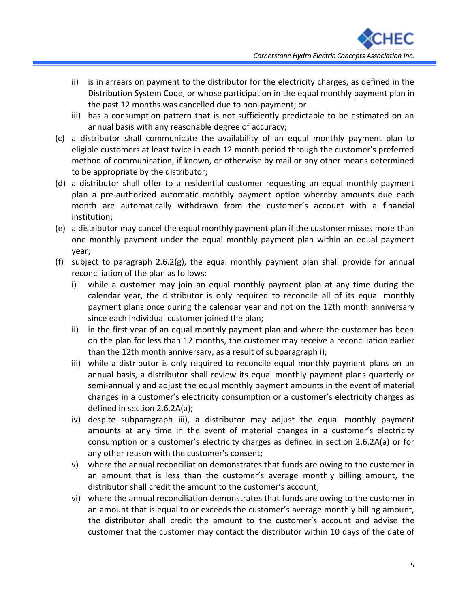- ii) is in arrears on payment to the distributor for the electricity charges, as defined in the Distribution System Code, or whose participation in the equal monthly payment plan in the past 12 months was cancelled due to non-payment; or
- iii) has a consumption pattern that is not sufficiently predictable to be estimated on an annual basis with any reasonable degree of accuracy;
- (c) a distributor shall communicate the availability of an equal monthly payment plan to eligible customers at least twice in each 12 month period through the customer's preferred method of communication, if known, or otherwise by mail or any other means determined to be appropriate by the distributor;
- (d) a distributor shall offer to a residential customer requesting an equal monthly payment plan a pre-authorized automatic monthly payment option whereby amounts due each month are automatically withdrawn from the customer's account with a financial institution;
- (e) a distributor may cancel the equal monthly payment plan if the customer misses more than one monthly payment under the equal monthly payment plan within an equal payment year;
- (f) subject to paragraph 2.6.2(g), the equal monthly payment plan shall provide for annual reconciliation of the plan as follows:
	- i) while a customer may join an equal monthly payment plan at any time during the calendar year, the distributor is only required to reconcile all of its equal monthly payment plans once during the calendar year and not on the 12th month anniversary since each individual customer joined the plan;
	- ii) in the first year of an equal monthly payment plan and where the customer has been on the plan for less than 12 months, the customer may receive a reconciliation earlier than the 12th month anniversary, as a result of subparagraph i);
	- iii) while a distributor is only required to reconcile equal monthly payment plans on an annual basis, a distributor shall review its equal monthly payment plans quarterly or semi-annually and adjust the equal monthly payment amounts in the event of material changes in a customer's electricity consumption or a customer's electricity charges as defined in section 2.6.2A(a);
	- iv) despite subparagraph iii), a distributor may adjust the equal monthly payment amounts at any time in the event of material changes in a customer's electricity consumption or a customer's electricity charges as defined in section 2.6.2A(a) or for any other reason with the customer's consent;
	- v) where the annual reconciliation demonstrates that funds are owing to the customer in an amount that is less than the customer's average monthly billing amount, the distributor shall credit the amount to the customer's account;
	- vi) where the annual reconciliation demonstrates that funds are owing to the customer in an amount that is equal to or exceeds the customer's average monthly billing amount, the distributor shall credit the amount to the customer's account and advise the customer that the customer may contact the distributor within 10 days of the date of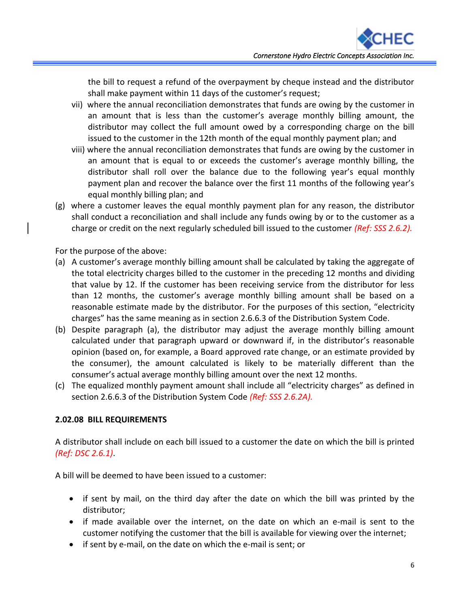the bill to request a refund of the overpayment by cheque instead and the distributor shall make payment within 11 days of the customer's request;

- vii) where the annual reconciliation demonstrates that funds are owing by the customer in an amount that is less than the customer's average monthly billing amount, the distributor may collect the full amount owed by a corresponding charge on the bill issued to the customer in the 12th month of the equal monthly payment plan; and
- viii) where the annual reconciliation demonstrates that funds are owing by the customer in an amount that is equal to or exceeds the customer's average monthly billing, the distributor shall roll over the balance due to the following year's equal monthly payment plan and recover the balance over the first 11 months of the following year's equal monthly billing plan; and
- (g) where a customer leaves the equal monthly payment plan for any reason, the distributor shall conduct a reconciliation and shall include any funds owing by or to the customer as a charge or credit on the next regularly scheduled bill issued to the customer *(Ref: SSS 2.6.2).*

For the purpose of the above:

- (a) A customer's average monthly billing amount shall be calculated by taking the aggregate of the total electricity charges billed to the customer in the preceding 12 months and dividing that value by 12. If the customer has been receiving service from the distributor for less than 12 months, the customer's average monthly billing amount shall be based on a reasonable estimate made by the distributor. For the purposes of this section, "electricity charges" has the same meaning as in section 2.6.6.3 of the Distribution System Code.
- (b) Despite paragraph (a), the distributor may adjust the average monthly billing amount calculated under that paragraph upward or downward if, in the distributor's reasonable opinion (based on, for example, a Board approved rate change, or an estimate provided by the consumer), the amount calculated is likely to be materially different than the consumer's actual average monthly billing amount over the next 12 months.
- (c) The equalized monthly payment amount shall include all "electricity charges" as defined in section 2.6.6.3 of the Distribution System Code *(Ref: SSS 2.6.2A).*

## **2.02.08 BILL REQUIREMENTS**

A distributor shall include on each bill issued to a customer the date on which the bill is printed *(Ref: DSC 2.6.1)*.

A bill will be deemed to have been issued to a customer:

- if sent by mail, on the third day after the date on which the bill was printed by the distributor;
- if made available over the internet, on the date on which an e-mail is sent to the customer notifying the customer that the bill is available for viewing over the internet;
- if sent by e-mail, on the date on which the e-mail is sent; or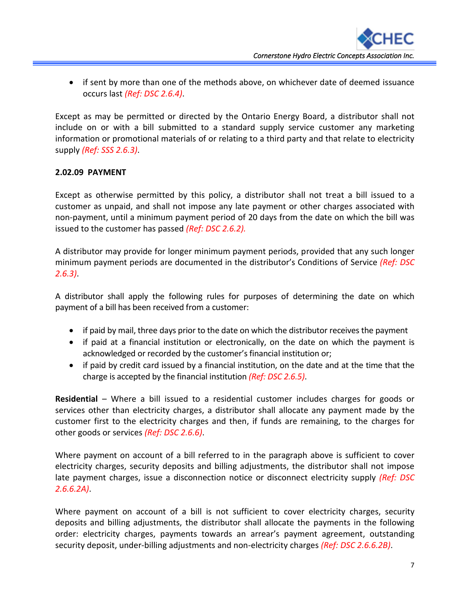• if sent by more than one of the methods above, on whichever date of deemed issuance occurs last *(Ref: DSC 2.6.4)*.

Except as may be permitted or directed by the Ontario Energy Board, a distributor shall not include on or with a bill submitted to a standard supply service customer any marketing information or promotional materials of or relating to a third party and that relate to electricity supply *(Ref: SSS 2.6.3)*.

## **2.02.09 PAYMENT**

Except as otherwise permitted by this policy, a distributor shall not treat a bill issued to a customer as unpaid, and shall not impose any late payment or other charges associated with non-payment, until a minimum payment period of 20 days from the date on which the bill was issued to the customer has passed *(Ref: DSC 2.6.2).*

A distributor may provide for longer minimum payment periods, provided that any such longer minimum payment periods are documented in the distributor's Conditions of Service *(Ref: DSC 2.6.3)*.

A distributor shall apply the following rules for purposes of determining the date on which payment of a bill has been received from a customer:

- if paid by mail, three days prior to the date on which the distributor receives the payment
- if paid at a financial institution or electronically, on the date on which the payment is acknowledged or recorded by the customer's financial institution or;
- if paid by credit card issued by a financial institution, on the date and at the time that the charge is accepted by the financial institution *(Ref: DSC 2.6.5)*.

**Residential** – Where a bill issued to a residential customer includes charges for goods or services other than electricity charges, a distributor shall allocate any payment made by the customer first to the electricity charges and then, if funds are remaining, to the charges for other goods or services *(Ref: DSC 2.6.6)*.

Where payment on account of a bill referred to in the paragraph above is sufficient to cover electricity charges, security deposits and billing adjustments, the distributor shall not impose late payment charges, issue a disconnection notice or disconnect electricity supply *(Ref: DSC 2.6.6.2A)*.

Where payment on account of a bill is not sufficient to cover electricity charges, security deposits and billing adjustments, the distributor shall allocate the payments in the following order: electricity charges, payments towards an arrear's payment agreement, outstanding security deposit, under-billing adjustments and non-electricity charges *(Ref: DSC 2.6.6.2B)*.